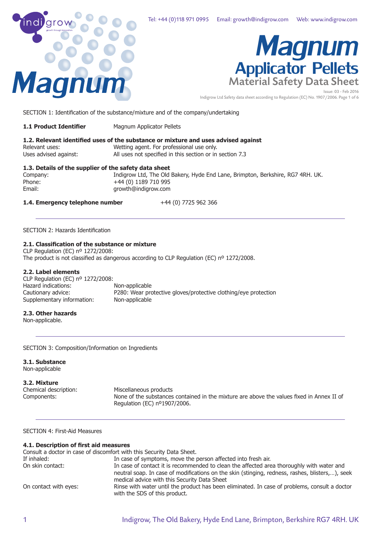

SECTION 1: Identification of the substance/mixture and of the company/undertaking

# **1.2. Relevant identified uses of the substance or mixture and uses advised against** Relevant uses: Wetting agent. For professional use only. Uses advised against: All uses not specified in this section or in section 7.3

## **1.3. Details of the supplier of the safety data sheet**

Company: Indigrow Ltd, The Old Bakery, Hyde End Lane, Brimpton, Berkshire, RG7 4RH. UK. Phone: +44 (0) 1189 710 995<br>Email: example arowth@indigrow.com growth@indigrow.com

# **1.4. Emergency telephone number** +44 (0) 7725 962 366

SECTION 2: Hazards Identification

# **2.1. Classification of the substance or mixture**

CLP Regulation (EC) nº 1272/2008: The product is not classified as dangerous according to CLP Regulation (EC) nº 1272/2008.

# **2.2. Label elements**

CLP Regulation (EC) nº 1272/2008: Hazard indications: Non-applicable Cautionary advice: P280: Wear protective gloves/protective clothing/eye protection Supplementary information: Non-applicable

# **2.3. Other hazards**

Non-applicable.

SECTION 3: Composition/Information on Ingredients

**3.1. Substance** Non-applicable

# **3.2. Mixture**

Chemical description: Miscellaneous products<br>
Components: None of the substances None of the substances contained in the mixture are above the values fixed in Annex II of Regulation (EC) nº1907/2006.

SECTION 4: First-Aid Measures

| 4.1. Description of first aid measures                                |                                                       |  |
|-----------------------------------------------------------------------|-------------------------------------------------------|--|
| Consult a doctor in case of discomfort with this Security Data Sheet. |                                                       |  |
| エクせいしょしょけい                                                            | The company of an incredible and contract the company |  |

| In case of symptoms, move the person affected into fresh air.                                                                  |
|--------------------------------------------------------------------------------------------------------------------------------|
| In case of contact it is recommended to clean the affected area thoroughly with water and                                      |
| neutral soap. In case of modifications on the skin (stinging, redness, rashes, blisters,), seek                                |
| medical advice with this Security Data Sheet                                                                                   |
| Rinse with water until the product has been eliminated. In case of problems, consult a doctor<br>with the SDS of this product. |
|                                                                                                                                |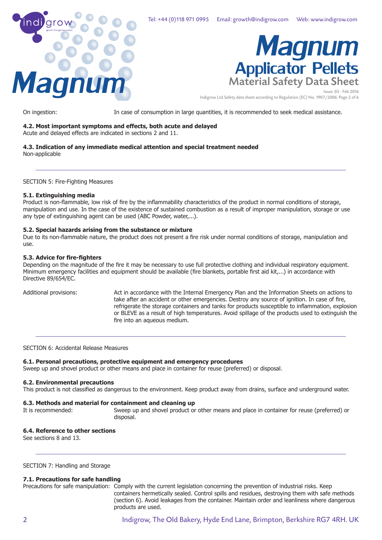



Issue: 03 - Feb 2016 Indigrow Ltd Safety data sheet according to Regulation (EC) No. 1907/2006. Page 2 of 6

On ingestion: In case of consumption in large quantities, it is recommended to seek medical assistance.

# **4.2. Most important symptoms and effects, both acute and delayed**

Acute and delayed effects are indicated in sections 2 and 11.

#### **4.3. Indication of any immediate medical attention and special treatment needed** Non-applicable

SECTION 5: Fire-Fighting Measures

# **5.1. Extinguishing media**

Product is non-flammable, low risk of fire by the inflammability characteristics of the product in normal conditions of storage, manipulation and use. In the case of the existence of sustained combustion as a result of improper manipulation, storage or use any type of extinguishing agent can be used (ABC Powder, water,...).

# **5.2. Special hazards arising from the substance or mixture**

Due to its non-flammable nature, the product does not present a fire risk under normal conditions of storage, manipulation and use.

# **5.3. Advice for fire-fighters**

Depending on the magnitude of the fire it may be necessary to use full protective clothing and individual respiratory equipment. Minimum emergency facilities and equipment should be available (fire blankets, portable first aid kit,...) in accordance with Directive 89/654/EC.

Additional provisions: Act in accordance with the Internal Emergency Plan and the Information Sheets on actions to take after an accident or other emergencies. Destroy any source of ignition. In case of fire, refrigerate the storage containers and tanks for products susceptible to inflammation, explosion or BLEVE as a result of high temperatures. Avoid spillage of the products used to extinguish the fire into an aqueous medium.

SECTION 6: Accidental Release Measures

## **6.1. Personal precautions, protective equipment and emergency procedures**

Sweep up and shovel product or other means and place in container for reuse (preferred) or disposal.

## **6.2. Environmental precautions**

This product is not classified as dangerous to the environment. Keep product away from drains, surface and underground water.

# **6.3. Methods and material for containment and cleaning up** It is recommended: Sweep up and shovel product or

Sweep up and shovel product or other means and place in container for reuse (preferred) or disposal.

## **6.4. Reference to other sections**

See sections 8 and 13.

SECTION 7: Handling and Storage

# **7.1. Precautions for safe handling**

Precautions for safe manipulation: Comply with the current legislation concerning the prevention of industrial risks. Keep containers hermetically sealed. Control spills and residues, destroying them with safe methods (section 6). Avoid leakages from the container. Maintain order and leanliness where dangerous products are used.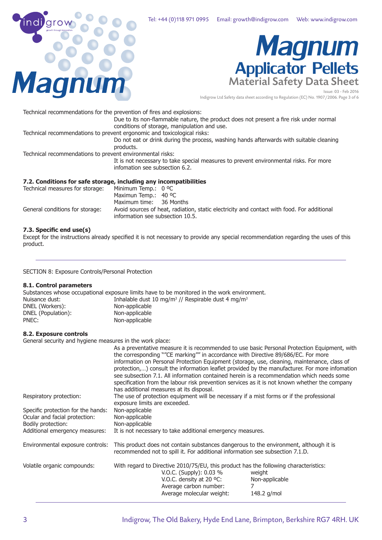



Indigrow Ltd Safety data sheet according to Regulation (EC) No. 1907/2006. Page 3 of 6

Technical recommendations for the prevention of fires and explosions: Due to its non-flammable nature, the product does not present a fire risk under normal conditions of storage, manipulation and use. Technical recommendations to prevent ergonomic and toxicological risks: Do not eat or drink during the process, washing hands afterwards with suitable cleaning products. Technical recommendations to prevent environmental risks: It is not necessary to take special measures to prevent environmental risks. For more infomation see subsection 6.2. **7.2. Conditions for safe storage, including any incompatibilities**

| Technical measures for storage: | Minimum Temp.: 0 °C              |                                                                                            |
|---------------------------------|----------------------------------|--------------------------------------------------------------------------------------------|
|                                 | Maximun Temp.: 40 °C             |                                                                                            |
|                                 | Maximum time: 36 Months          |                                                                                            |
| General conditions for storage: | information see subsection 10.5. | Avoid sources of heat, radiation, static electricity and contact with food. For additional |

# **7.3. Specific end use(s)**

Except for the instructions already specified it is not necessary to provide any special recommendation regarding the uses of this product.

SECTION 8: Exposure Controls/Personal Protection

## **8.1. Control parameters**

|                    | Substances whose occupational exposure limits have to be monitored in the work environment. |
|--------------------|---------------------------------------------------------------------------------------------|
| Nuisance dust:     | Inhalable dust 10 mg/m <sup>3</sup> // Respirable dust 4 mg/m <sup>3</sup>                  |
| DNEL (Workers):    | Non-applicable                                                                              |
| DNEL (Population): | Non-applicable                                                                              |
| PNEC:              | Non-applicable                                                                              |

## **8.2. Exposure controls**

General security and hygiene measures in the work place:

|                                                     | As a preventative measure it is recommended to use basic Personal Protection Equipment, with<br>the corresponding ""CE marking"" in accordance with Directive 89/686/EC. For more<br>information on Personal Protection Equipment (storage, use, cleaning, maintenance, class of<br>protection,) consult the information leaflet provided by the manufacturer. For more infomation<br>see subsection 7.1. All information contained herein is a recommendation which needs some<br>specification from the labour risk prevention services as it is not known whether the company<br>has additional measures at its disposal. |                                         |
|-----------------------------------------------------|------------------------------------------------------------------------------------------------------------------------------------------------------------------------------------------------------------------------------------------------------------------------------------------------------------------------------------------------------------------------------------------------------------------------------------------------------------------------------------------------------------------------------------------------------------------------------------------------------------------------------|-----------------------------------------|
| Respiratory protection:                             | The use of protection equipment will be necessary if a mist forms or if the professional<br>exposure limits are exceeded.                                                                                                                                                                                                                                                                                                                                                                                                                                                                                                    |                                         |
| Specific protection for the hands:                  | Non-applicable                                                                                                                                                                                                                                                                                                                                                                                                                                                                                                                                                                                                               |                                         |
| Ocular and facial protection:<br>Bodily protection: | Non-applicable<br>Non-applicable                                                                                                                                                                                                                                                                                                                                                                                                                                                                                                                                                                                             |                                         |
| Additional emergency measures:                      | It is not necessary to take additional emergency measures.                                                                                                                                                                                                                                                                                                                                                                                                                                                                                                                                                                   |                                         |
| Environmental exposure controls:                    | This product does not contain substances dangerous to the environment, although it is<br>recommended not to spill it. For additional information see subsection 7.1.D.                                                                                                                                                                                                                                                                                                                                                                                                                                                       |                                         |
| Volatile organic compounds:                         | With regard to Directive 2010/75/EU, this product has the following characteristics:<br>V.O.C. (Supply): 0.03 %<br>V.O.C. density at 20 °C:<br>Average carbon number:<br>Average molecular weight:                                                                                                                                                                                                                                                                                                                                                                                                                           | weight<br>Non-applicable<br>148.2 g/mol |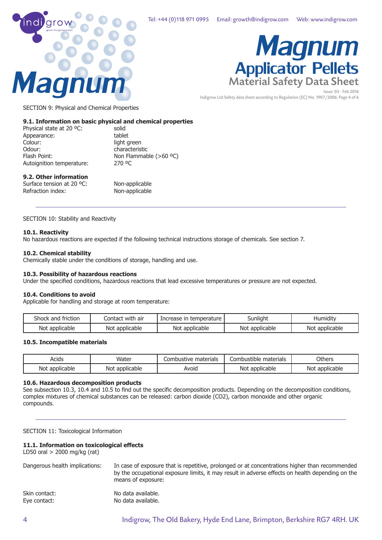



Indigrow Ltd Safety data sheet according to Regulation (EC) No. 1907/2006. Page 4 of 6

SECTION 9: Physical and Chemical Properties

# **9.1. Information on basic physical and chemical properties**

| Physical state at 20 °C:  | solid                  |
|---------------------------|------------------------|
| Appearance:               | tablet                 |
| Colour:                   | light green            |
| Odour:                    | characteristic         |
| Flash Point:              | Non Flammable (>60 °C) |
| Autoignition temperature: | 270 °C                 |
|                           |                        |

#### **9.2. Other information**

Surface tension at 20 °C: Non-applicable<br>Refraction index: Non-applicable Refraction index:

SECTION 10: Stability and Reactivity

# **10.1. Reactivity**

No hazardous reactions are expected if the following technical instructions storage of chemicals. See section 7.

## **10.2. Chemical stability**

Chemically stable under the conditions of storage, handling and use.

## **10.3. Possibility of hazardous reactions**

Under the specified conditions, hazardous reactions that lead excessive temperatures or pressure are not expected.

## **10.4. Conditions to avoid**

Applicable for handling and storage at room temperature:

| Shock and friction | Contact with air | Increase in temperature | .<br>Junlight  | .<br>Humidity  |
|--------------------|------------------|-------------------------|----------------|----------------|
| Not applicable     | Not applicable   | Not applicable          | Not applicable | Not applicable |

# **10.5. Incompatible materials**

| Acids               | Water                | Combustive materials | Combustible materials | Others         |
|---------------------|----------------------|----------------------|-----------------------|----------------|
| Not<br>: applicable | Not.<br>: applicable | Avoid                | Not<br>: applicable   | Not applicable |

# **10.6. Hazardous decomposition products**

See subsection 10.3, 10.4 and 10.5 to find out the specific decomposition products. Depending on the decomposition conditions, complex mixtures of chemical substances can be released: carbon dioxide (CO2), carbon monoxide and other organic compounds.

SECTION 11: Toxicological Information

# **11.1. Information on toxicological effects**

LD50 oral > 2000 mg/kg (rat)

| Dangerous health implications: | In case of exposure that is repetitive, prolonged or at concentrations higher than recommended<br>by the occupational exposure limits, it may result in adverse effects on health depending on the<br>means of exposure: |
|--------------------------------|--------------------------------------------------------------------------------------------------------------------------------------------------------------------------------------------------------------------------|
| Skin contact:                  | No data available.                                                                                                                                                                                                       |
| Eye contact:                   | No data available.                                                                                                                                                                                                       |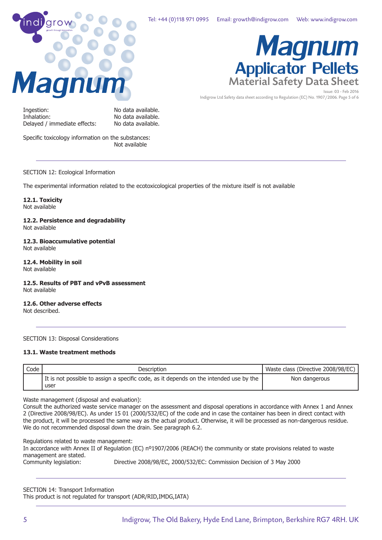



Indigrow Ltd Safety data sheet according to Regulation (EC) No. 1907/2006. Page 5 of 6

Ingestion: No data available.<br>
Inhalation: No data available. Delayed / immediate effects: No data available.

No data available.

Specific toxicology information on the substances: Not available

# SECTION 12: Ecological Information

The experimental information related to the ecotoxicological properties of the mixture itself is not available

# **12.1. Toxicity**

Not available

#### **12.2. Persistence and degradability** Not available

**12.3. Bioaccumulative potential** Not available

#### **12.4. Mobility in soil** Not available

## **12.5. Results of PBT and vPvB assessment** Not available

**12.6. Other adverse effects** Not described.

## SECTION 13: Disposal Considerations

# **13.1. Waste treatment methods**

| Code | Description                                                                                    | Waste class (Directive 2008/98/EC) |
|------|------------------------------------------------------------------------------------------------|------------------------------------|
|      | It is not possible to assign a specific code, as it depends on the intended use by the<br>user | Non dangerous                      |

Waste management (disposal and evaluation):

Consult the authorized waste service manager on the assessment and disposal operations in accordance with Annex 1 and Annex 2 (Directive 2008/98/EC). As under 15 01 (2000/532/EC) of the code and in case the container has been in direct contact with the product, it will be processed the same way as the actual product. Otherwise, it will be processed as non-dangerous residue. We do not recommended disposal down the drain. See paragraph 6.2.

Regulations related to waste management:

In accordance with Annex II of Regulation (EC) nº1907/2006 (REACH) the community or state provisions related to waste management are stated. Community legislation: Directive 2008/98/EC, 2000/532/EC: Commission Decision of 3 May 2000

SECTION 14: Transport Information This product is not regulated for transport (ADR/RID,IMDG,IATA)